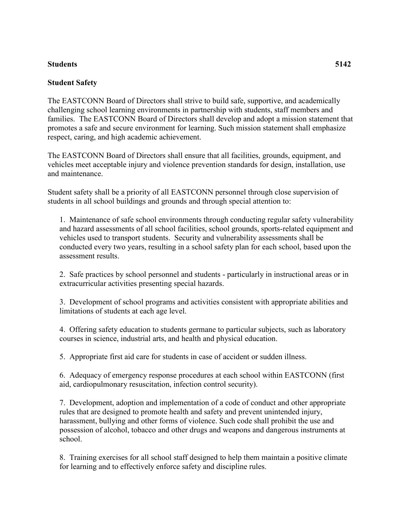## **Students 5142**

## **Student Safety**

The EASTCONN Board of Directors shall strive to build safe, supportive, and academically challenging school learning environments in partnership with students, staff members and families. The EASTCONN Board of Directors shall develop and adopt a mission statement that promotes a safe and secure environment for learning. Such mission statement shall emphasize respect, caring, and high academic achievement.

The EASTCONN Board of Directors shall ensure that all facilities, grounds, equipment, and vehicles meet acceptable injury and violence prevention standards for design, installation, use and maintenance.

Student safety shall be a priority of all EASTCONN personnel through close supervision of students in all school buildings and grounds and through special attention to:

1. Maintenance of safe school environments through conducting regular safety vulnerability and hazard assessments of all school facilities, school grounds, sports-related equipment and vehicles used to transport students. Security and vulnerability assessments shall be conducted every two years, resulting in a school safety plan for each school, based upon the assessment results.

2. Safe practices by school personnel and students - particularly in instructional areas or in extracurricular activities presenting special hazards.

3. Development of school programs and activities consistent with appropriate abilities and limitations of students at each age level.

4. Offering safety education to students germane to particular subjects, such as laboratory courses in science, industrial arts, and health and physical education.

5. Appropriate first aid care for students in case of accident or sudden illness.

6. Adequacy of emergency response procedures at each school within EASTCONN (first aid, cardiopulmonary resuscitation, infection control security).

7. Development, adoption and implementation of a code of conduct and other appropriate rules that are designed to promote health and safety and prevent unintended injury, harassment, bullying and other forms of violence. Such code shall prohibit the use and possession of alcohol, tobacco and other drugs and weapons and dangerous instruments at school.

8. Training exercises for all school staff designed to help them maintain a positive climate for learning and to effectively enforce safety and discipline rules.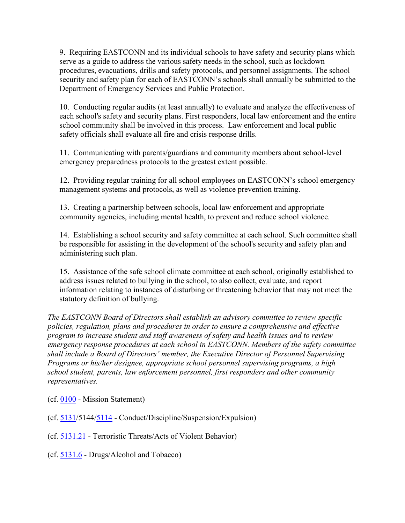9. Requiring EASTCONN and its individual schools to have safety and security plans which serve as a guide to address the various safety needs in the school, such as lockdown procedures, evacuations, drills and safety protocols, and personnel assignments. The school security and safety plan for each of EASTCONN's schools shall annually be submitted to the Department of Emergency Services and Public Protection.

10. Conducting regular audits (at least annually) to evaluate and analyze the effectiveness of each school's safety and security plans. First responders, local law enforcement and the entire school community shall be involved in this process. Law enforcement and local public safety officials shall evaluate all fire and crisis response drills.

11. Communicating with parents/guardians and community members about school-level emergency preparedness protocols to the greatest extent possible.

12. Providing regular training for all school employees on EASTCONN's school emergency management systems and protocols, as well as violence prevention training.

13. Creating a partnership between schools, local law enforcement and appropriate community agencies, including mental health, to prevent and reduce school violence.

14. Establishing a school security and safety committee at each school. Such committee shall be responsible for assisting in the development of the school's security and safety plan and administering such plan.

15. Assistance of the safe school climate committee at each school, originally established to address issues related to bullying in the school, to also collect, evaluate, and report information relating to instances of disturbing or threatening behavior that may not meet the statutory definition of bullying.

*The EASTCONN Board of Directors shall establish an advisory committee to review specific policies, regulation, plans and procedures in order to ensure a comprehensive and effective program to increase student and staff awareness of safety and health issues and to review emergency response procedures at each school in EASTCONN. Members of the safety committee shall include a Board of Directors' member, the Executive Director of Personnel Supervising Programs or his/her designee, appropriate school personnel supervising programs, a high school student, parents, law enforcement personnel, first responders and other community representatives.* 

- (cf. [0100](http://z2policy.cabe.org/cabe/DocViewer.jsp?docid=5&z2collection=core#JD_0100) Mission Statement)
- (cf. [5131/](http://z2policy.cabe.org/cabe/DocViewer.jsp?docid=267&z2collection=core#JD_5131)5144[/5114](http://z2policy.cabe.org/cabe/DocViewer.jsp?docid=236&z2collection=core#JD_5114) Conduct/Discipline/Suspension/Expulsion)
- (cf. [5131.21](http://z2policy.cabe.org/cabe/DocViewer.jsp?docid=270&z2collection=core#JD_5131.21) Terroristic Threats/Acts of Violent Behavior)
- (cf. [5131.6](http://z2policy.cabe.org/cabe/DocViewer.jsp?docid=273&z2collection=core#JD_5131.6) Drugs/Alcohol and Tobacco)